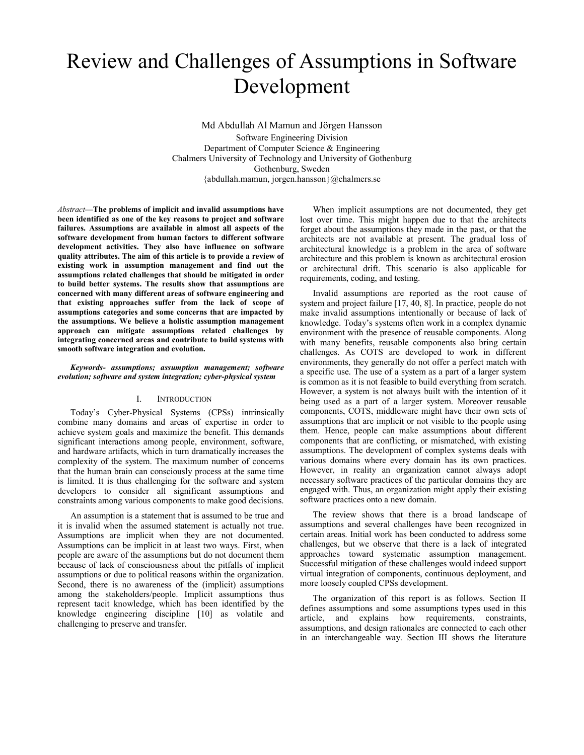# Review and Challenges of Assumptions in Software Development

Md Abdullah Al Mamun and Jörgen Hansson Software Engineering Division Department of Computer Science & Engineering Chalmers University of Technology and University of Gothenburg Gothenburg, Sweden {abdullah.mamun, jorgen.hansson}@chalmers.se

*Abstract***—The problems of implicit and invalid assumptions have been identified as one of the key reasons to project and software failures. Assumptions are available in almost all aspects of the software development from human factors to different software development activities. They also have influence on software quality attributes. The aim of this article is to provide a review of existing work in assumption management and find out the assumptions related challenges that should be mitigated in order to build better systems. The results show that assumptions are concerned with many different areas of software engineering and that existing approaches suffer from the lack of scope of assumptions categories and some concerns that are impacted by the assumptions. We believe a holistic assumption management approach can mitigate assumptions related challenges by integrating concerned areas and contribute to build systems with smooth software integration and evolution.** 

#### *Keywords- assumptions; assumption management; software evolution; software and system integration; cyber-physical system*

#### I. INTRODUCTION

Today's Cyber-Physical Systems (CPSs) intrinsically combine many domains and areas of expertise in order to achieve system goals and maximize the benefit. This demands significant interactions among people, environment, software, and hardware artifacts, which in turn dramatically increases the complexity of the system. The maximum number of concerns that the human brain can consciously process at the same time is limited. It is thus challenging for the software and system developers to consider all significant assumptions and constraints among various components to make good decisions.

An assumption is a statement that is assumed to be true and it is invalid when the assumed statement is actually not true. Assumptions are implicit when they are not documented. Assumptions can be implicit in at least two ways. First, when people are aware of the assumptions but do not document them because of lack of consciousness about the pitfalls of implicit assumptions or due to political reasons within the organization. Second, there is no awareness of the (implicit) assumptions among the stakeholders/people. Implicit assumptions thus represent tacit knowledge, which has been identified by the knowledge engineering discipline [10] as volatile and challenging to preserve and transfer.

When implicit assumptions are not documented, they get lost over time. This might happen due to that the architects forget about the assumptions they made in the past, or that the architects are not available at present. The gradual loss of architectural knowledge is a problem in the area of software architecture and this problem is known as architectural erosion or architectural drift. This scenario is also applicable for requirements, coding, and testing.

Invalid assumptions are reported as the root cause of system and project failure [17, 40, 8]. In practice, people do not make invalid assumptions intentionally or because of lack of knowledge. Today's systems often work in a complex dynamic environment with the presence of reusable components. Along with many benefits, reusable components also bring certain challenges. As COTS are developed to work in different environments, they generally do not offer a perfect match with a specific use. The use of a system as a part of a larger system is common as it is not feasible to build everything from scratch. However, a system is not always built with the intention of it being used as a part of a larger system. Moreover reusable components, COTS, middleware might have their own sets of assumptions that are implicit or not visible to the people using them. Hence, people can make assumptions about different components that are conflicting, or mismatched, with existing assumptions. The development of complex systems deals with various domains where every domain has its own practices. However, in reality an organization cannot always adopt necessary software practices of the particular domains they are engaged with. Thus, an organization might apply their existing software practices onto a new domain.

The review shows that there is a broad landscape of assumptions and several challenges have been recognized in certain areas. Initial work has been conducted to address some challenges, but we observe that there is a lack of integrated approaches toward systematic assumption management. Successful mitigation of these challenges would indeed support virtual integration of components, continuous deployment, and more loosely coupled CPSs development.

The organization of this report is as follows. Section II defines assumptions and some assumptions types used in this article, and explains how requirements, constraints, assumptions, and design rationales are connected to each other in an interchangeable way. Section III shows the literature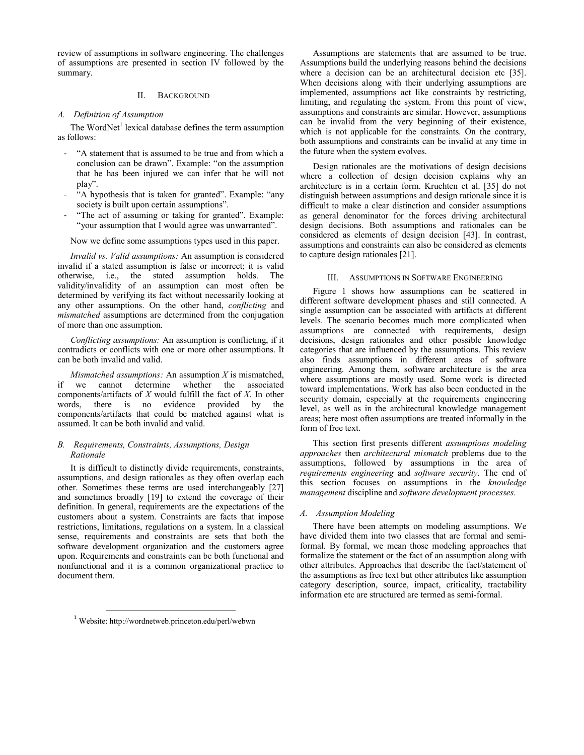review of assumptions in software engineering. The challenges of assumptions are presented in section IV followed by the summary.

### II. BACKGROUND

#### *A. Definition of Assumption*

The WordNet<sup>1</sup> lexical database defines the term assumption as follows:

- "A statement that is assumed to be true and from which a conclusion can be drawn". Example: "on the assumption that he has been injured we can infer that he will not play".
- "A hypothesis that is taken for granted". Example: "any society is built upon certain assumptions".
- "The act of assuming or taking for granted". Example: "your assumption that I would agree was unwarranted".

Now we define some assumptions types used in this paper.

*Invalid vs. Valid assumptions:* An assumption is considered invalid if a stated assumption is false or incorrect; it is valid otherwise, i.e., the stated assumption holds. The validity/invalidity of an assumption can most often be determined by verifying its fact without necessarily looking at any other assumptions. On the other hand, *conflicting* and *mismatched* assumptions are determined from the conjugation of more than one assumption.

*Conflicting assumptions:* An assumption is conflicting, if it contradicts or conflicts with one or more other assumptions. It can be both invalid and valid.

*Mismatched assumptions:* An assumption *X* is mismatched, if we cannot determine whether the associated components/artifacts of *X* would fulfill the fact of *X*. In other words, there is no evidence provided by the components/artifacts that could be matched against what is assumed. It can be both invalid and valid.

## *B. Requirements, Constraints, Assumptions, Design Rationale*

It is difficult to distinctly divide requirements, constraints, assumptions, and design rationales as they often overlap each other. Sometimes these terms are used interchangeably [27] and sometimes broadly [19] to extend the coverage of their definition. In general, requirements are the expectations of the customers about a system. Constraints are facts that impose restrictions, limitations, regulations on a system. In a classical sense, requirements and constraints are sets that both the software development organization and the customers agree upon. Requirements and constraints can be both functional and nonfunctional and it is a common organizational practice to document them.

<sup>1</sup> Website: http://wordnetweb.princeton.edu/perl/webwn

 $\overline{a}$ 

Assumptions are statements that are assumed to be true. Assumptions build the underlying reasons behind the decisions where a decision can be an architectural decision etc [35]. When decisions along with their underlying assumptions are implemented, assumptions act like constraints by restricting, limiting, and regulating the system. From this point of view, assumptions and constraints are similar. However, assumptions can be invalid from the very beginning of their existence, which is not applicable for the constraints. On the contrary, both assumptions and constraints can be invalid at any time in the future when the system evolves.

Design rationales are the motivations of design decisions where a collection of design decision explains why an architecture is in a certain form. Kruchten et al. [35] do not distinguish between assumptions and design rationale since it is difficult to make a clear distinction and consider assumptions as general denominator for the forces driving architectural design decisions. Both assumptions and rationales can be considered as elements of design decision [43]. In contrast, assumptions and constraints can also be considered as elements to capture design rationales [21].

#### III. ASSUMPTIONS IN SOFTWARE ENGINEERING

Figure 1 shows how assumptions can be scattered in different software development phases and still connected. A single assumption can be associated with artifacts at different levels. The scenario becomes much more complicated when assumptions are connected with requirements, design decisions, design rationales and other possible knowledge categories that are influenced by the assumptions. This review also finds assumptions in different areas of software engineering. Among them, software architecture is the area where assumptions are mostly used. Some work is directed toward implementations. Work has also been conducted in the security domain, especially at the requirements engineering level, as well as in the architectural knowledge management areas; here most often assumptions are treated informally in the form of free text.

This section first presents different *assumptions modeling approaches* then *architectural mismatch* problems due to the assumptions, followed by assumptions in the area of *requirements engineering* and *software security*. The end of this section focuses on assumptions in the *knowledge management* discipline and *software development processes*.

## *A. Assumption Modeling*

There have been attempts on modeling assumptions. We have divided them into two classes that are formal and semiformal. By formal, we mean those modeling approaches that formalize the statement or the fact of an assumption along with other attributes. Approaches that describe the fact/statement of the assumptions as free text but other attributes like assumption category description, source, impact, criticality, tractability information etc are structured are termed as semi-formal.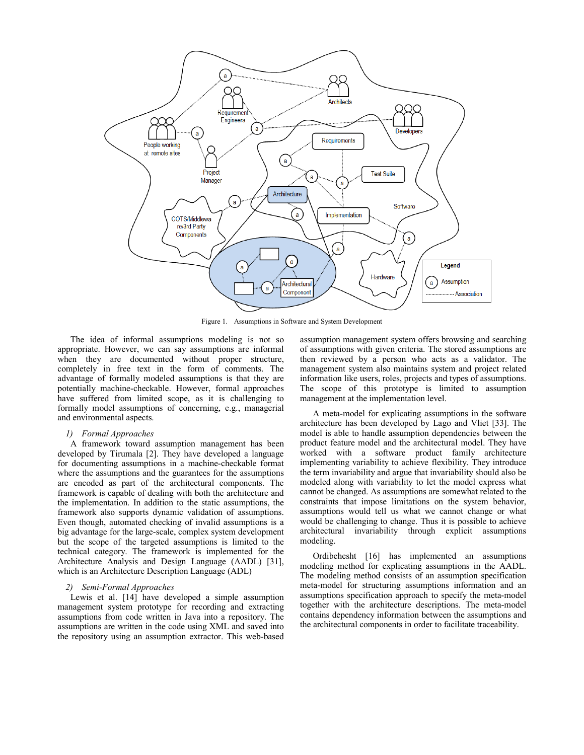

Figure 1. Assumptions in Software and System Development

The idea of informal assumptions modeling is not so appropriate. However, we can say assumptions are informal when they are documented without proper structure, completely in free text in the form of comments. The advantage of formally modeled assumptions is that they are potentially machine-checkable. However, formal approaches have suffered from limited scope, as it is challenging to formally model assumptions of concerning, e.g., managerial and environmental aspects.

## *1) Formal Approaches*

A framework toward assumption management has been developed by Tirumala [2]. They have developed a language for documenting assumptions in a machine-checkable format where the assumptions and the guarantees for the assumptions are encoded as part of the architectural components. The framework is capable of dealing with both the architecture and the implementation. In addition to the static assumptions, the framework also supports dynamic validation of assumptions. Even though, automated checking of invalid assumptions is a big advantage for the large-scale, complex system development but the scope of the targeted assumptions is limited to the technical category. The framework is implemented for the Architecture Analysis and Design Language (AADL) [31], which is an Architecture Description Language (ADL)

#### *2) Semi-Formal Approaches*

Lewis et al. [14] have developed a simple assumption management system prototype for recording and extracting assumptions from code written in Java into a repository. The assumptions are written in the code using XML and saved into the repository using an assumption extractor. This web-based

assumption management system offers browsing and searching of assumptions with given criteria. The stored assumptions are then reviewed by a person who acts as a validator. The management system also maintains system and project related information like users, roles, projects and types of assumptions. The scope of this prototype is limited to assumption management at the implementation level.

A meta-model for explicating assumptions in the software architecture has been developed by Lago and Vliet [33]. The model is able to handle assumption dependencies between the product feature model and the architectural model. They have worked with a software product family architecture implementing variability to achieve flexibility. They introduce the term invariability and argue that invariability should also be modeled along with variability to let the model express what cannot be changed. As assumptions are somewhat related to the constraints that impose limitations on the system behavior, assumptions would tell us what we cannot change or what would be challenging to change. Thus it is possible to achieve architectural invariability through explicit assumptions modeling.

Ordibehesht [16] has implemented an assumptions modeling method for explicating assumptions in the AADL. The modeling method consists of an assumption specification meta-model for structuring assumptions information and an assumptions specification approach to specify the meta-model together with the architecture descriptions. The meta-model contains dependency information between the assumptions and the architectural components in order to facilitate traceability.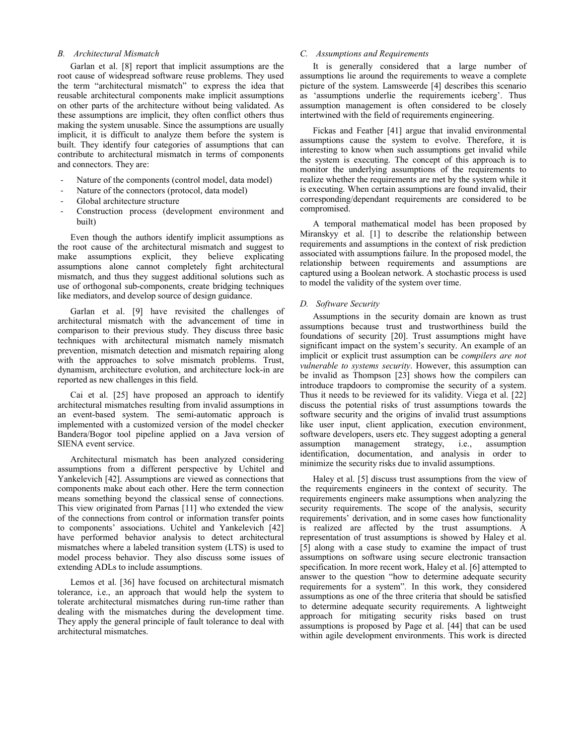## *B. Architectural Mismatch*

Garlan et al. [8] report that implicit assumptions are the root cause of widespread software reuse problems. They used the term "architectural mismatch" to express the idea that reusable architectural components make implicit assumptions on other parts of the architecture without being validated. As these assumptions are implicit, they often conflict others thus making the system unusable. Since the assumptions are usually implicit, it is difficult to analyze them before the system is built. They identify four categories of assumptions that can contribute to architectural mismatch in terms of components and connectors. They are:

- Nature of the components (control model, data model)
- Nature of the connectors (protocol, data model)
- Global architecture structure
- Construction process (development environment and built)

Even though the authors identify implicit assumptions as the root cause of the architectural mismatch and suggest to make assumptions explicit, they believe explicating assumptions alone cannot completely fight architectural mismatch, and thus they suggest additional solutions such as use of orthogonal sub-components, create bridging techniques like mediators, and develop source of design guidance.

Garlan et al. [9] have revisited the challenges of architectural mismatch with the advancement of time in comparison to their previous study. They discuss three basic techniques with architectural mismatch namely mismatch prevention, mismatch detection and mismatch repairing along with the approaches to solve mismatch problems. Trust, dynamism, architecture evolution, and architecture lock-in are reported as new challenges in this field.

Cai et al. [25] have proposed an approach to identify architectural mismatches resulting from invalid assumptions in an event-based system. The semi-automatic approach is implemented with a customized version of the model checker Bandera/Bogor tool pipeline applied on a Java version of SIENA event service.

Architectural mismatch has been analyzed considering assumptions from a different perspective by Uchitel and Yankelevich [42]. Assumptions are viewed as connections that components make about each other. Here the term connection means something beyond the classical sense of connections. This view originated from Parnas [11] who extended the view of the connections from control or information transfer points to components' associations. Uchitel and Yankelevich [42] have performed behavior analysis to detect architectural mismatches where a labeled transition system (LTS) is used to model process behavior. They also discuss some issues of extending ADLs to include assumptions.

Lemos et al. [36] have focused on architectural mismatch tolerance, i.e., an approach that would help the system to tolerate architectural mismatches during run-time rather than dealing with the mismatches during the development time. They apply the general principle of fault tolerance to deal with architectural mismatches.

## *C. Assumptions and Requirements*

It is generally considered that a large number of assumptions lie around the requirements to weave a complete picture of the system. Lamsweerde [4] describes this scenario as 'assumptions underlie the requirements iceberg'. Thus assumption management is often considered to be closely intertwined with the field of requirements engineering.

Fickas and Feather [41] argue that invalid environmental assumptions cause the system to evolve. Therefore, it is interesting to know when such assumptions get invalid while the system is executing. The concept of this approach is to monitor the underlying assumptions of the requirements to realize whether the requirements are met by the system while it is executing. When certain assumptions are found invalid, their corresponding/dependant requirements are considered to be compromised.

A temporal mathematical model has been proposed by Miranskyy et al. [1] to describe the relationship between requirements and assumptions in the context of risk prediction associated with assumptions failure. In the proposed model, the relationship between requirements and assumptions are captured using a Boolean network. A stochastic process is used to model the validity of the system over time.

## *D. Software Security*

Assumptions in the security domain are known as trust assumptions because trust and trustworthiness build the foundations of security [20]. Trust assumptions might have significant impact on the system's security. An example of an implicit or explicit trust assumption can be *compilers are not vulnerable to systems security*. However, this assumption can be invalid as Thompson [23] shows how the compilers can introduce trapdoors to compromise the security of a system. Thus it needs to be reviewed for its validity. Viega et al. [22] discuss the potential risks of trust assumptions towards the software security and the origins of invalid trust assumptions like user input, client application, execution environment, software developers, users etc. They suggest adopting a general assumption management strategy, i.e., assumption assumption management strategy, i.e., assumption identification, documentation, and analysis in order to minimize the security risks due to invalid assumptions.

Haley et al. [5] discuss trust assumptions from the view of the requirements engineers in the context of security. The requirements engineers make assumptions when analyzing the security requirements. The scope of the analysis, security requirements' derivation, and in some cases how functionality is realized are affected by the trust assumptions. A representation of trust assumptions is showed by Haley et al. [5] along with a case study to examine the impact of trust assumptions on software using secure electronic transaction specification. In more recent work, Haley et al. [6] attempted to answer to the question "how to determine adequate security requirements for a system". In this work, they considered assumptions as one of the three criteria that should be satisfied to determine adequate security requirements. A lightweight approach for mitigating security risks based on trust assumptions is proposed by Page et al. [44] that can be used within agile development environments. This work is directed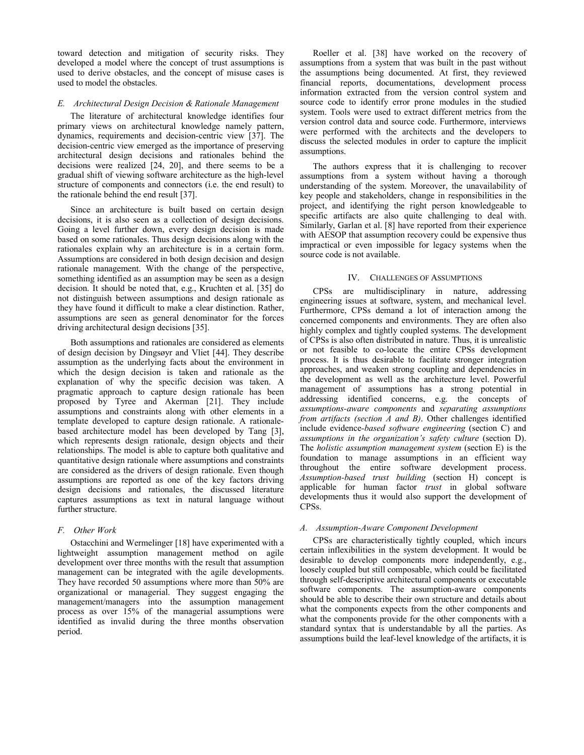toward detection and mitigation of security risks. They developed a model where the concept of trust assumptions is used to derive obstacles, and the concept of misuse cases is used to model the obstacles.

## *E. Architectural Design Decision & Rationale Management*

The literature of architectural knowledge identifies four primary views on architectural knowledge namely pattern, dynamics, requirements and decision-centric view [37]. The decision-centric view emerged as the importance of preserving architectural design decisions and rationales behind the decisions were realized [24, 20], and there seems to be a gradual shift of viewing software architecture as the high-level structure of components and connectors (i.e. the end result) to the rationale behind the end result [37].

Since an architecture is built based on certain design decisions, it is also seen as a collection of design decisions. Going a level further down, every design decision is made based on some rationales. Thus design decisions along with the rationales explain why an architecture is in a certain form. Assumptions are considered in both design decision and design rationale management. With the change of the perspective, something identified as an assumption may be seen as a design decision. It should be noted that, e.g., Kruchten et al. [35] do not distinguish between assumptions and design rationale as they have found it difficult to make a clear distinction. Rather, assumptions are seen as general denominator for the forces driving architectural design decisions [35].

Both assumptions and rationales are considered as elements of design decision by Dingsøyr and Vliet [44]. They describe assumption as the underlying facts about the environment in which the design decision is taken and rationale as the explanation of why the specific decision was taken. A pragmatic approach to capture design rationale has been proposed by Tyree and Akerman [21]. They include assumptions and constraints along with other elements in a template developed to capture design rationale. A rationalebased architecture model has been developed by Tang [3], which represents design rationale, design objects and their relationships. The model is able to capture both qualitative and quantitative design rationale where assumptions and constraints are considered as the drivers of design rationale. Even though assumptions are reported as one of the key factors driving design decisions and rationales, the discussed literature captures assumptions as text in natural language without further structure.

#### *F. Other Work*

Ostacchini and Wermelinger [18] have experimented with a lightweight assumption management method on agile development over three months with the result that assumption management can be integrated with the agile developments. They have recorded 50 assumptions where more than 50% are organizational or managerial. They suggest engaging the management/managers into the assumption management process as over 15% of the managerial assumptions were identified as invalid during the three months observation period.

Roeller et al. [38] have worked on the recovery of assumptions from a system that was built in the past without the assumptions being documented. At first, they reviewed financial reports, documentations, development process information extracted from the version control system and source code to identify error prone modules in the studied system. Tools were used to extract different metrics from the version control data and source code. Furthermore, interviews were performed with the architects and the developers to discuss the selected modules in order to capture the implicit assumptions.

The authors express that it is challenging to recover assumptions from a system without having a thorough understanding of the system. Moreover, the unavailability of key people and stakeholders, change in responsibilities in the project, and identifying the right person knowledgeable to specific artifacts are also quite challenging to deal with. Similarly, Garlan et al. [8] have reported from their experience with AESOP that assumption recovery could be expensive thus impractical or even impossible for legacy systems when the source code is not available.

#### IV. CHALLENGES OF ASSUMPTIONS

CPSs are multidisciplinary in nature, addressing engineering issues at software, system, and mechanical level. Furthermore, CPSs demand a lot of interaction among the concerned components and environments. They are often also highly complex and tightly coupled systems. The development of CPSs is also often distributed in nature. Thus, it is unrealistic or not feasible to co-locate the entire CPSs development process. It is thus desirable to facilitate stronger integration approaches, and weaken strong coupling and dependencies in the development as well as the architecture level. Powerful management of assumptions has a strong potential in addressing identified concerns, e.g. the concepts of *assumptions-aware components* and *separating assumptions from artifacts (section A and B)*. Other challenges identified include evidence*-based software engineering* (section C) and *assumptions in the organization's safety culture* (section D). The *holistic assumption management system* (section E) is the foundation to manage assumptions in an efficient way throughout the entire software development process. Assumption-based trust building (section H) concept is applicable for human factor *trust* in global software developments thus it would also support the development of CPSs.

#### *A. Assumption-Aware Component Development*

CPSs are characteristically tightly coupled, which incurs certain inflexibilities in the system development. It would be desirable to develop components more independently, e.g., loosely coupled but still composable, which could be facilitated through self-descriptive architectural components or executable software components. The assumption-aware components should be able to describe their own structure and details about what the components expects from the other components and what the components provide for the other components with a standard syntax that is understandable by all the parties. As assumptions build the leaf-level knowledge of the artifacts, it is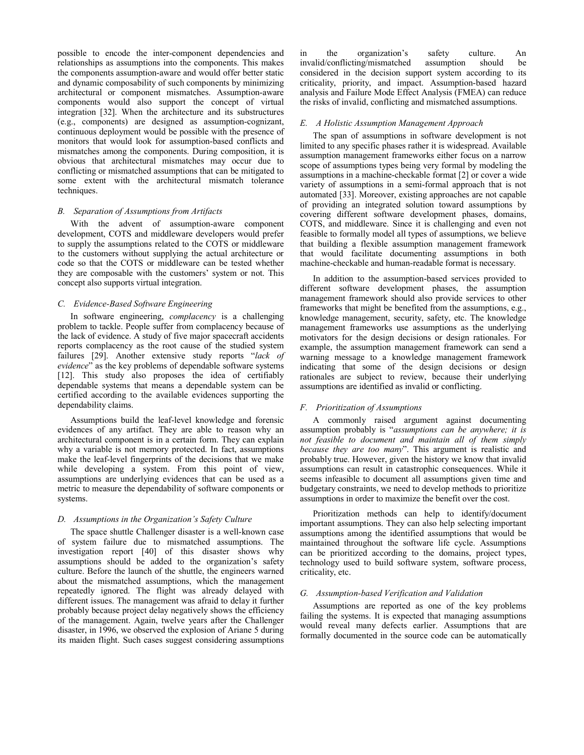possible to encode the inter-component dependencies and relationships as assumptions into the components. This makes the components assumption-aware and would offer better static and dynamic composability of such components by minimizing architectural or component mismatches. Assumption-aware components would also support the concept of virtual integration [32]. When the architecture and its substructures (e.g., components) are designed as assumption-cognizant, continuous deployment would be possible with the presence of monitors that would look for assumption-based conflicts and mismatches among the components. During composition, it is obvious that architectural mismatches may occur due to conflicting or mismatched assumptions that can be mitigated to some extent with the architectural mismatch tolerance techniques.

## *B. Separation of Assumptions from Artifacts*

With the advent of assumption-aware component development, COTS and middleware developers would prefer to supply the assumptions related to the COTS or middleware to the customers without supplying the actual architecture or code so that the COTS or middleware can be tested whether they are composable with the customers' system or not. This concept also supports virtual integration.

#### *C. Evidence-Based Software Engineering*

In software engineering, *complacency* is a challenging problem to tackle. People suffer from complacency because of the lack of evidence. A study of five major spacecraft accidents reports complacency as the root cause of the studied system failures [29]. Another extensive study reports "*lack of evidence*" as the key problems of dependable software systems [12]. This study also proposes the idea of certifiably dependable systems that means a dependable system can be certified according to the available evidences supporting the dependability claims.

Assumptions build the leaf-level knowledge and forensic evidences of any artifact. They are able to reason why an architectural component is in a certain form. They can explain why a variable is not memory protected. In fact, assumptions make the leaf-level fingerprints of the decisions that we make while developing a system. From this point of view, assumptions are underlying evidences that can be used as a metric to measure the dependability of software components or systems.

#### *D. Assumptions in the Organization's Safety Culture*

The space shuttle Challenger disaster is a well-known case of system failure due to mismatched assumptions. The investigation report [40] of this disaster shows why assumptions should be added to the organization's safety culture. Before the launch of the shuttle, the engineers warned about the mismatched assumptions, which the management repeatedly ignored. The flight was already delayed with different issues. The management was afraid to delay it further probably because project delay negatively shows the efficiency of the management. Again, twelve years after the Challenger disaster, in 1996, we observed the explosion of Ariane 5 during its maiden flight. Such cases suggest considering assumptions

in the organization's safety culture. An invalid/conflicting/mismatched assumption should be invalid/conflicting/mismatched assumption should be considered in the decision support system according to its criticality, priority, and impact. Assumption-based hazard analysis and Failure Mode Effect Analysis (FMEA) can reduce the risks of invalid, conflicting and mismatched assumptions.

#### *E. A Holistic Assumption Management Approach*

The span of assumptions in software development is not limited to any specific phases rather it is widespread. Available assumption management frameworks either focus on a narrow scope of assumptions types being very formal by modeling the assumptions in a machine-checkable format [2] or cover a wide variety of assumptions in a semi-formal approach that is not automated [33]. Moreover, existing approaches are not capable of providing an integrated solution toward assumptions by covering different software development phases, domains, COTS, and middleware. Since it is challenging and even not feasible to formally model all types of assumptions, we believe that building a flexible assumption management framework that would facilitate documenting assumptions in both machine-checkable and human-readable format is necessary.

In addition to the assumption-based services provided to different software development phases, the assumption management framework should also provide services to other frameworks that might be benefited from the assumptions, e.g., knowledge management, security, safety, etc. The knowledge management frameworks use assumptions as the underlying motivators for the design decisions or design rationales. For example, the assumption management framework can send a warning message to a knowledge management framework indicating that some of the design decisions or design rationales are subject to review, because their underlying assumptions are identified as invalid or conflicting.

#### *F. Prioritization of Assumptions*

A commonly raised argument against documenting assumption probably is "*assumptions can be anywhere; it is not feasible to document and maintain all of them simply because they are too many*". This argument is realistic and probably true. However, given the history we know that invalid assumptions can result in catastrophic consequences. While it seems infeasible to document all assumptions given time and budgetary constraints, we need to develop methods to prioritize assumptions in order to maximize the benefit over the cost.

Prioritization methods can help to identify/document important assumptions. They can also help selecting important assumptions among the identified assumptions that would be maintained throughout the software life cycle. Assumptions can be prioritized according to the domains, project types, technology used to build software system, software process, criticality, etc.

#### *G. Assumption-based Verification and Validation*

Assumptions are reported as one of the key problems failing the systems. It is expected that managing assumptions would reveal many defects earlier. Assumptions that are formally documented in the source code can be automatically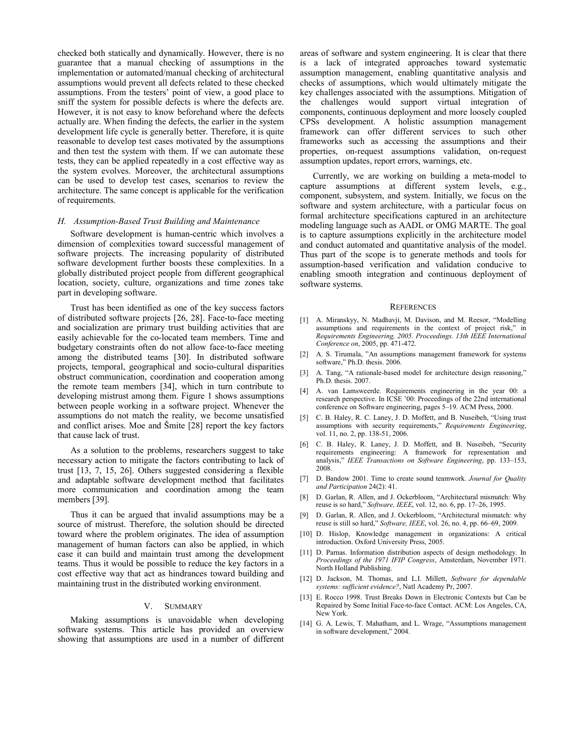checked both statically and dynamically. However, there is no guarantee that a manual checking of assumptions in the implementation or automated/manual checking of architectural assumptions would prevent all defects related to these checked assumptions. From the testers' point of view, a good place to sniff the system for possible defects is where the defects are. However, it is not easy to know beforehand where the defects actually are. When finding the defects, the earlier in the system development life cycle is generally better. Therefore, it is quite reasonable to develop test cases motivated by the assumptions and then test the system with them. If we can automate these tests, they can be applied repeatedly in a cost effective way as the system evolves. Moreover, the architectural assumptions can be used to develop test cases, scenarios to review the architecture. The same concept is applicable for the verification of requirements.

#### *H. Assumption-Based Trust Building and Maintenance*

Software development is human-centric which involves a dimension of complexities toward successful management of software projects. The increasing popularity of distributed software development further boosts these complexities. In a globally distributed project people from different geographical location, society, culture, organizations and time zones take part in developing software.

Trust has been identified as one of the key success factors of distributed software projects [26, 28]. Face-to-face meeting and socialization are primary trust building activities that are easily achievable for the co-located team members. Time and budgetary constraints often do not allow face-to-face meeting among the distributed teams [30]. In distributed software projects, temporal, geographical and socio-cultural disparities obstruct communication, coordination and cooperation among the remote team members [34], which in turn contribute to developing mistrust among them. Figure 1 shows assumptions between people working in a software project. Whenever the assumptions do not match the reality, we become unsatisfied and conflict arises. Moe and Šmite [28] report the key factors that cause lack of trust.

As a solution to the problems, researchers suggest to take necessary action to mitigate the factors contributing to lack of trust [13, 7, 15, 26]. Others suggested considering a flexible and adaptable software development method that facilitates more communication and coordination among the team members [39].

Thus it can be argued that invalid assumptions may be a source of mistrust. Therefore, the solution should be directed toward where the problem originates. The idea of assumption management of human factors can also be applied, in which case it can build and maintain trust among the development teams. Thus it would be possible to reduce the key factors in a cost effective way that act as hindrances toward building and maintaining trust in the distributed working environment.

#### V. SUMMARY

Making assumptions is unavoidable when developing software systems. This article has provided an overview showing that assumptions are used in a number of different areas of software and system engineering. It is clear that there is a lack of integrated approaches toward systematic assumption management, enabling quantitative analysis and checks of assumptions, which would ultimately mitigate the key challenges associated with the assumptions. Mitigation of the challenges would support virtual integration of components, continuous deployment and more loosely coupled CPSs development. A holistic assumption management framework can offer different services to such other frameworks such as accessing the assumptions and their properties, on-request assumptions validation, on-request assumption updates, report errors, warnings, etc.

Currently, we are working on building a meta-model to capture assumptions at different system levels, e.g., component, subsystem, and system. Initially, we focus on the software and system architecture, with a particular focus on formal architecture specifications captured in an architecture modeling language such as AADL or OMG MARTE. The goal is to capture assumptions explicitly in the architecture model and conduct automated and quantitative analysis of the model. Thus part of the scope is to generate methods and tools for assumption-based verification and validation conducive to enabling smooth integration and continuous deployment of software systems.

#### **REFERENCES**

- [1] A. Miranskyy, N. Madhavji, M. Davison, and M. Reesor, "Modelling assumptions and requirements in the context of project risk," in *Requirements Engineering, 2005. Proceedings. 13th IEEE International Conference on*, 2005, pp. 471-472.
- [2] A. S. Tirumala, "An assumptions management framework for systems software," Ph.D. thesis. 2006.
- [3] A. Tang, "A rationale-based model for architecture design reasoning," Ph.D. thesis. 2007.
- [4] A. van Lamsweerde. Requirements engineering in the year 00: a research perspective. In ICSE '00: Proceedings of the 22nd international conference on Software engineering, pages 5–19. ACM Press, 2000.
- [5] C. B. Haley, R. C. Laney, J. D. Moffett, and B. Nuseibeh, "Using trust assumptions with security requirements," *Requirements Engineering*, vol. 11, no. 2, pp. 138-51, 2006.
- [6] C. B. Haley, R. Laney, J. D. Moffett, and B. Nuseibeh, "Security requirements engineering: A framework for representation and analysis," *IEEE Transactions on Software Engineering*, pp. 133–153, 2008.
- [7] D. Bandow 2001. Time to create sound teamwork. *Journal for Quality and Participation* 24(2): 41.
- [8] D. Garlan, R. Allen, and J. Ockerbloom, "Architectural mismatch: Why reuse is so hard," *Software, IEEE*, vol. 12, no. 6, pp. 17–26, 1995.
- [9] D. Garlan, R. Allen, and J. Ockerbloom, "Architectural mismatch: why reuse is still so hard," *Software, IEEE*, vol. 26, no. 4, pp. 66–69, 2009.
- [10] D. Hislop, Knowledge management in organizations: A critical introduction. Oxford University Press, 2005.
- [11] D. Parnas. Information distribution aspects of design methodology. In *Proceedings of the 1971 IFIP Congress*, Amsterdam, November 1971. North Holland Publishing.
- [12] D. Jackson, M. Thomas, and L.I. Millett, *Software for dependable systems: sufficient evidence?*, Natl Academy Pr, 2007.
- [13] E. Rocco 1998. Trust Breaks Down in Electronic Contexts but Can be Repaired by Some Initial Face-to-face Contact. ACM: Los Angeles, CA, New York.
- [14] G. A. Lewis, T. Mahatham, and L. Wrage, "Assumptions management in software development," 2004.